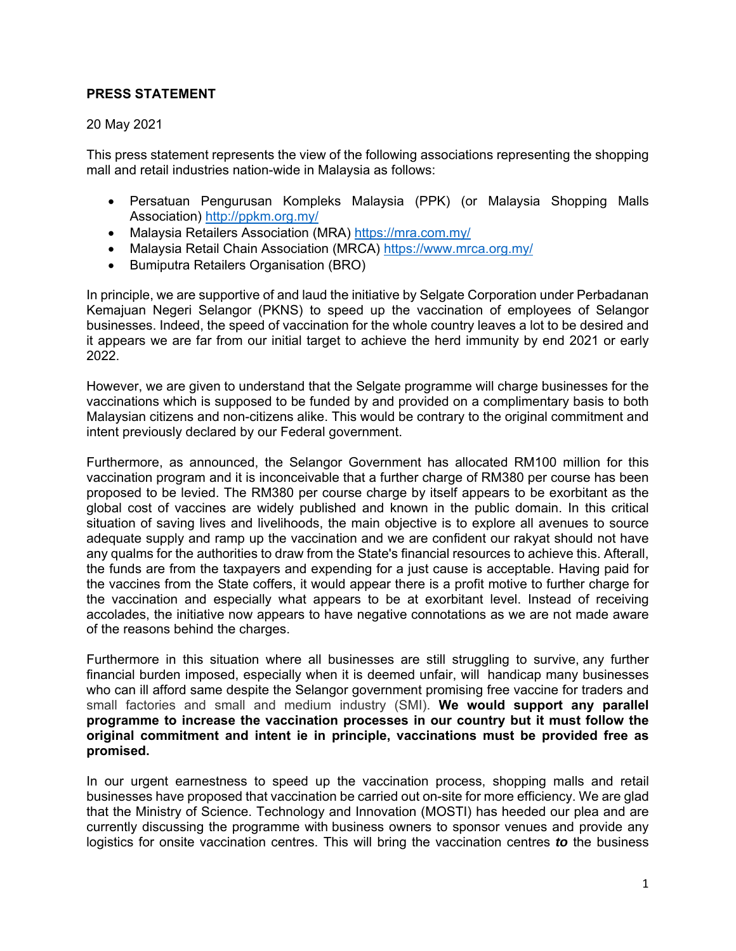## **PRESS STATEMENT**

## 20 May 2021

This press statement represents the view of the following associations representing the shopping mall and retail industries nation-wide in Malaysia as follows:

- Persatuan Pengurusan Kompleks Malaysia (PPK) (or Malaysia Shopping Malls Association) http://ppkm.org.my/
- Malaysia Retailers Association (MRA) https://mra.com.my/
- Malaysia Retail Chain Association (MRCA) https://www.mrca.org.my/
- **•** Bumiputra Retailers Organisation (BRO)

In principle, we are supportive of and laud the initiative by Selgate Corporation under Perbadanan Kemajuan Negeri Selangor (PKNS) to speed up the vaccination of employees of Selangor businesses. Indeed, the speed of vaccination for the whole country leaves a lot to be desired and it appears we are far from our initial target to achieve the herd immunity by end 2021 or early 2022.

However, we are given to understand that the Selgate programme will charge businesses for the vaccinations which is supposed to be funded by and provided on a complimentary basis to both Malaysian citizens and non-citizens alike. This would be contrary to the original commitment and intent previously declared by our Federal government.

Furthermore, as announced, the Selangor Government has allocated RM100 million for this vaccination program and it is inconceivable that a further charge of RM380 per course has been proposed to be levied. The RM380 per course charge by itself appears to be exorbitant as the global cost of vaccines are widely published and known in the public domain. In this critical situation of saving lives and livelihoods, the main objective is to explore all avenues to source adequate supply and ramp up the vaccination and we are confident our rakyat should not have any qualms for the authorities to draw from the State's financial resources to achieve this. Afterall, the funds are from the taxpayers and expending for a just cause is acceptable. Having paid for the vaccines from the State coffers, it would appear there is a profit motive to further charge for the vaccination and especially what appears to be at exorbitant level. Instead of receiving accolades, the initiative now appears to have negative connotations as we are not made aware of the reasons behind the charges.

Furthermore in this situation where all businesses are still struggling to survive, any further financial burden imposed, especially when it is deemed unfair, will handicap many businesses who can ill afford same despite the Selangor government promising free vaccine for traders and small factories and small and medium industry (SMI). **We would support any parallel programme to increase the vaccination processes in our country but it must follow the original commitment and intent ie in principle, vaccinations must be provided free as promised.**

In our urgent earnestness to speed up the vaccination process, shopping malls and retail businesses have proposed that vaccination be carried out on-site for more efficiency. We are glad that the Ministry of Science. Technology and Innovation (MOSTI) has heeded our plea and are currently discussing the programme with business owners to sponsor venues and provide any logistics for onsite vaccination centres. This will bring the vaccination centres *to* the business